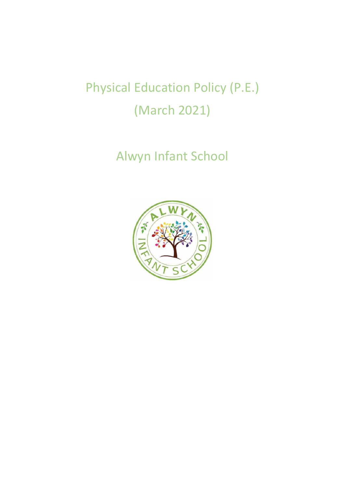# Physical Education Policy (P.E.) (March 2021)

Alwyn Infant School

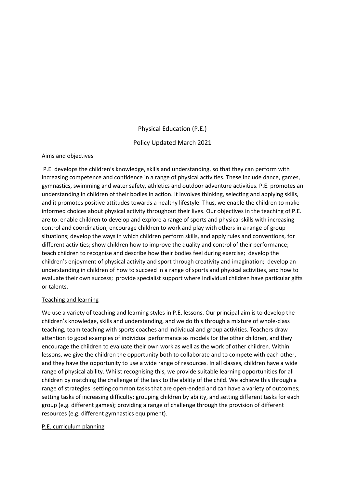# Physical Education (P.E.) Policy Updated March 2021

#### Aims and objectives

P.E. develops the children's knowledge, skills and understanding, so that they can perform with increasing competence and confidence in a range of physical activities. These include dance, games, gymnastics, swimming and water safety, athletics and outdoor adventure activities. P.E. promotes an understanding in children of their bodies in action. It involves thinking, selecting and applying skills, and it promotes positive attitudes towards a healthy lifestyle. Thus, we enable the children to make informed choices about physical activity throughout their lives. Our objectives in the teaching of P.E. are to: enable children to develop and explore a range of sports and physical skills with increasing control and coordination; encourage children to work and play with others in a range of group situations; develop the ways in which children perform skills, and apply rules and conventions, for different activities; show children how to improve the quality and control of their performance; teach children to recognise and describe how their bodies feel during exercise; develop the children's enjoyment of physical activity and sport through creativity and imagination; develop an understanding in children of how to succeed in a range of sports and physical activities, and how to evaluate their own success; provide specialist support where individual children have particular gifts or talents.

#### Teaching and learning

We use a variety of teaching and learning styles in P.E. lessons. Our principal aim is to develop the children's knowledge, skills and understanding, and we do this through a mixture of whole-class teaching, team teaching with sports coaches and individual and group activities. Teachers draw attention to good examples of individual performance as models for the other children, and they encourage the children to evaluate their own work as well as the work of other children. Within lessons, we give the children the opportunity both to collaborate and to compete with each other, and they have the opportunity to use a wide range of resources. In all classes, children have a wide range of physical ability. Whilst recognising this, we provide suitable learning opportunities for all children by matching the challenge of the task to the ability of the child. We achieve this through a range of strategies: setting common tasks that are open-ended and can have a variety of outcomes; setting tasks of increasing difficulty; grouping children by ability, and setting different tasks for each group (e.g. different games); providing a range of challenge through the provision of different resources (e.g. different gymnastics equipment).

#### P.E. curriculum planning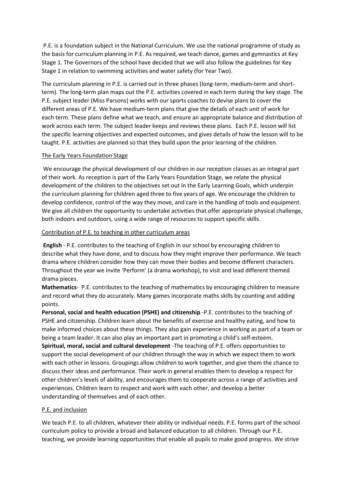P.E. is a foundation subject in the National Curriculum. We use the national programme of study as the basis for curriculum planning in P.E. As required, we teach dance, games and gymnastics at Key Stage 1. The Governors of the school have decided that we will also follow the guidelines for Key Stage 1 in relation to swimming activities and water safety (for Year Two).

The curriculum planning in P.E. is carried out in three phases (long-term, medium-term and shortterm). The long-term plan maps out the P.E. activities covered in each term during the key stage. The P.E. subject leader (Miss Parsons) works with our sports coaches to devise plans to cover the different areas of P.E. We have medium-term plans that give the details of each unit of work for each term. These plans define what we teach, and ensure an appropriate balance and distribution of work across each term. The subject leader keeps and reviews these plans. Each P.E. lesson will list the specific learning objectives and expected outcomes, and gives details of how the lesson will to be taught. P.E. activities are planned so that they build upon the prior learning of the children.

#### The Early Years Foundation Stage

We encourage the physical development of our children in our reception classes as an integral part of their work. As reception is part of the Early Years Foundation Stage, we relate the physical development of the children to the objectives set out in the Early Learning Goals, which underpin the curriculum planning for children aged three to five years of age. We encourage the children to develop confidence, control of the way they move, and care in the handling of tools and equipment. We give all children the opportunity to undertake activities that offer appropriate physical challenge, both indoors and outdoors, using a wide range of resources to support specific skills.

#### Contribution of P.E. to teaching in other curriculum areas

**English** - P.E. contributes to the teaching of English in our school by encouraging children to describe what they have done, and to discuss how they might improve their performance. We teach drama where children consider how they can move their bodies and become different characters. Throughout the year we invite 'Perform' (a drama workshop), to visit and lead different themed drama pieces.

**Mathematics**- P.E. contributes to the teaching of mathematics by encouraging children to measure and record what they do accurately. Many games incorporate maths skills by counting and adding points.

**Personal, social and health education (PSHE) and citizenship** -P.E. contributes to the teaching of PSHE and citizenship. Children learn about the benefits of exercise and healthy eating, and how to make informed choices about these things. They also gain experience in working as part of a team or being a team leader. It can also play an important part in promoting a child's self-esteem. **Spiritual, moral, social and cultural development** -The teaching of P.E. offers opportunities to support the social development of our children through the way in which we expect them to work with each other in lessons. Groupings allow children to work together, and give them the chance to discuss their ideas and performance. Their work in general enables them to develop a respect for other children's levels of ability, and encourages them to cooperate across a range of activities and experiences. Children learn to respect and work with each other, and develop a better understanding of themselves and of each other.

# P.E. and inclusion

We teach P.E. to all children, whatever their ability or individual needs. P.E. forms part of the school curriculum policy to provide a broad and balanced education to all children. Through our P.E. teaching, we provide learning opportunities that enable all pupils to make good progress. We strive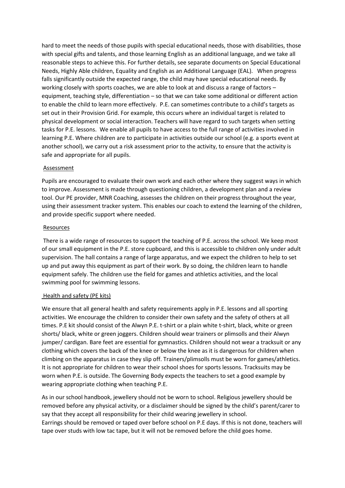hard to meet the needs of those pupils with special educational needs, those with disabilities, those with special gifts and talents, and those learning English as an additional language, and we take all reasonable steps to achieve this. For further details, see separate documents on Special Educational Needs, Highly Able children, Equality and English as an Additional Language (EAL). When progress falls significantly outside the expected range, the child may have special educational needs. By working closely with sports coaches, we are able to look at and discuss a range of factors – equipment, teaching style, differentiation – so that we can take some additional or different action to enable the child to learn more effectively. P.E. can sometimes contribute to a child's targets as set out in their Provision Grid. For example, this occurs where an individual target is related to physical development or social interaction. Teachers will have regard to such targets when setting tasks for P.E. lessons. We enable all pupils to have access to the full range of activities involved in learning P.E. Where children are to participate in activities outside our school (e.g. a sports event at another school), we carry out a risk assessment prior to the activity, to ensure that the activity is safe and appropriate for all pupils.

#### Assessment

Pupils are encouraged to evaluate their own work and each other where they suggest ways in which to improve. Assessment is made through questioning children, a development plan and a review tool. Our PE provider, MNR Coaching, assesses the children on their progress throughout the year, using their assessment tracker system. This enables our coach to extend the learning of the children, and provide specific support where needed.

#### Resources

There is a wide range of resources to support the teaching of P.E. across the school. We keep most of our small equipment in the P.E. store cupboard, and this is accessible to children only under adult supervision. The hall contains a range of large apparatus, and we expect the children to help to set up and put away this equipment as part of their work. By so doing, the children learn to handle equipment safely. The children use the field for games and athletics activities, and the local swimming pool for swimming lessons.

#### Health and safety (PE kits)

We ensure that all general health and safety requirements apply in P.E. lessons and all sporting activities. We encourage the children to consider their own safety and the safety of others at all times. P.E kit should consist of the Alwyn P.E. t-shirt or a plain white t-shirt, black, white or green shorts/ black, white or green joggers. Children should wear trainers or plimsolls and their Alwyn jumper/ cardigan. Bare feet are essential for gymnastics. Children should not wear a tracksuit or any clothing which covers the back of the knee or below the knee as it is dangerous for children when climbing on the apparatus in case they slip off. Trainers/plimsolls must be worn for games/athletics. It is not appropriate for children to wear their school shoes for sports lessons. Tracksuits may be worn when P.E. is outside. The Governing Body expects the teachers to set a good example by wearing appropriate clothing when teaching P.E.

As in our school handbook, jewellery should not be worn to school. Religious jewellery should be removed before any physical activity, or a disclaimer should be signed by the child's parent/carer to say that they accept all responsibility for their child wearing jewellery in school. Earrings should be removed or taped over before school on P.E days. If this is not done, teachers will tape over studs with low tac tape, but it will not be removed before the child goes home.